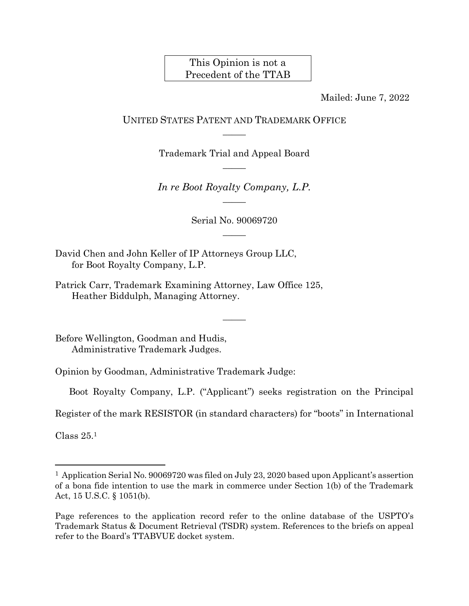### This Opinion is not a Precedent of the TTAB

Mailed: June 7, 2022

### UNITED STATES PATENT AND TRADEMARK OFFICE  $\overline{\phantom{a}}$

Trademark Trial and Appeal Board  $\overline{\phantom{a}}$ 

*In re Boot Royalty Company, L.P.*  $\overline{\phantom{a}}$ 

> Serial No. 90069720  $\overline{\phantom{a}}$

> > $\overline{\phantom{a}}$

David Chen and John Keller of IP Attorneys Group LLC, for Boot Royalty Company, L.P.

Patrick Carr, Trademark Examining Attorney, Law Office 125, Heather Biddulph, Managing Attorney.

Before Wellington, Goodman and Hudis, Administrative Trademark Judges.

Opinion by Goodman, Administrative Trademark Judge:

Boot Royalty Company, L.P. ("Applicant") seeks registration on the Principal

Register of the mark RESISTOR (in standard characters) for "boots" in International

Class 25. 1

l

<sup>1</sup> Application Serial No. 90069720 was filed on July 23, 2020 based upon Applicant's assertion of a bona fide intention to use the mark in commerce under Section 1(b) of the Trademark Act, 15 U.S.C. § 1051(b).

Page references to the application record refer to the online database of the USPTO's Trademark Status & Document Retrieval (TSDR) system. References to the briefs on appeal refer to the Board's TTABVUE docket system.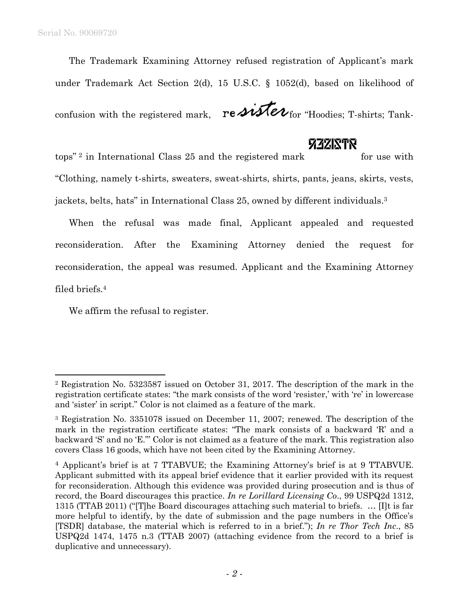The Trademark Examining Attorney refused registration of Applicant's mark under Trademark Act Section 2(d), 15 U.S.C. § 1052(d), based on likelihood of

confusion with the registered mark,  $\mathbf{r} \in \mathbf{M}$   $\mathbf{r}$  for "Hoodies; T-shirts; Tank-

## **ZZZINTR**

 $\frac{1}{2}$  in International Class 25 and the registered mark for use with "Clothing, namely t-shirts, sweaters, sweat-shirts, shirts, pants, jeans, skirts, vests, jackets, belts, hats" in International Class 25, owned by different individuals. 3

When the refusal was made final, Applicant appealed and requested reconsideration. After the Examining Attorney denied the request for reconsideration, the appeal was resumed. Applicant and the Examining Attorney filed briefs.<sup>4</sup>

We affirm the refusal to register.

<sup>2</sup> Registration No. 5323587 issued on October 31, 2017. The description of the mark in the registration certificate states: "the mark consists of the word 'resister,' with 're' in lowercase and 'sister' in script." Color is not claimed as a feature of the mark.

<sup>3</sup> Registration No. 3351078 issued on December 11, 2007; renewed. The description of the mark in the registration certificate states: "The mark consists of a backward 'R' and a backward 'S' and no 'E."' Color is not claimed as a feature of the mark. This registration also covers Class 16 goods, which have not been cited by the Examining Attorney.

<sup>4</sup> Applicant's brief is at 7 TTABVUE; the Examining Attorney's brief is at 9 TTABVUE. Applicant submitted with its appeal brief evidence that it earlier provided with its request for reconsideration. Although this evidence was provided during prosecution and is thus of record, the Board discourages this practice. *In re Lorillard Licensing Co*., 99 USPQ2d 1312, 1315 (TTAB 2011) ("[T]he Board discourages attaching such material to briefs. … [I]t is far more helpful to identify, by the date of submission and the page numbers in the Office's [TSDR] database, the material which is referred to in a brief."); *In re Thor Tech Inc*., 85 USPQ2d 1474, 1475 n.3 (TTAB 2007) (attaching evidence from the record to a brief is duplicative and unnecessary).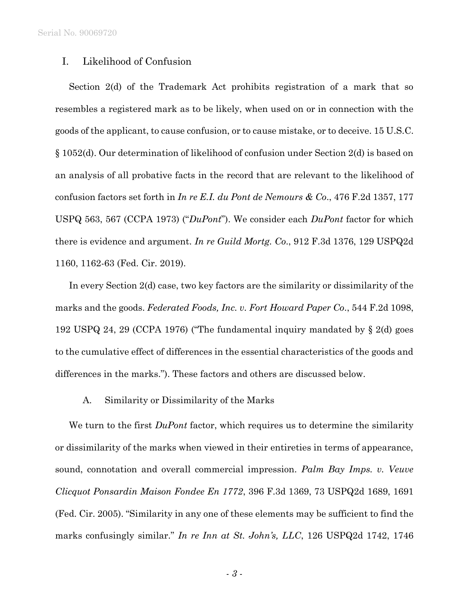### I. Likelihood of Confusion

Section 2(d) of the Trademark Act prohibits registration of a mark that so resembles a registered mark as to be likely, when used on or in connection with the goods of the applicant, to cause confusion, or to cause mistake, or to deceive. 15 U.S.C. § 1052(d). Our determination of likelihood of confusion under Section 2(d) is based on an analysis of all probative facts in the record that are relevant to the likelihood of confusion factors set forth in *In re E.I. du Pont de Nemours & Co*., 476 F.2d 1357, 177 USPQ 563, 567 (CCPA 1973) ("*DuPont*"). We consider each *DuPont* factor for which there is evidence and argument. *In re Guild Mortg. Co*., 912 F.3d 1376, 129 USPQ2d 1160, 1162-63 (Fed. Cir. 2019).

In every Section 2(d) case, two key factors are the similarity or dissimilarity of the marks and the goods. *Federated Foods, Inc. v. Fort Howard Paper Co*., 544 F.2d 1098, 192 USPQ 24, 29 (CCPA 1976) ("The fundamental inquiry mandated by § 2(d) goes to the cumulative effect of differences in the essential characteristics of the goods and differences in the marks."). These factors and others are discussed below.

A. Similarity or Dissimilarity of the Marks

We turn to the first *DuPont* factor, which requires us to determine the similarity or dissimilarity of the marks when viewed in their entireties in terms of appearance, sound, connotation and overall commercial impression. *Palm Bay Imps. v. Veuve Clicquot Ponsardin Maison Fondee En 1772*, 396 F.3d 1369, 73 USPQ2d 1689, 1691 (Fed. Cir. 2005). "Similarity in any one of these elements may be sufficient to find the marks confusingly similar." *In re Inn at St. John's, LLC*, 126 USPQ2d 1742, 1746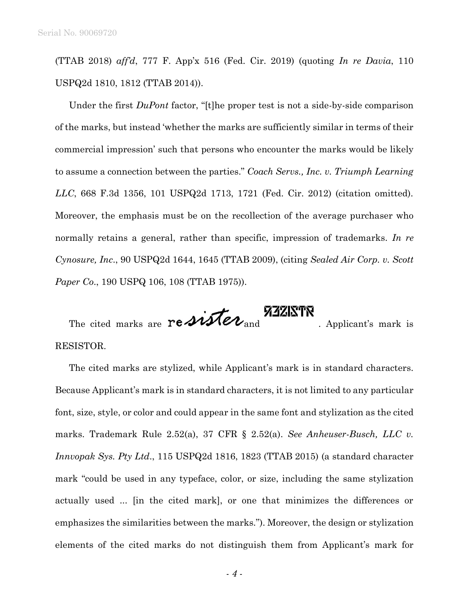(TTAB 2018) *aff'd*, 777 F. App'x 516 (Fed. Cir. 2019) (quoting *In re Davia*, 110 USPQ2d 1810, 1812 (TTAB 2014)).

Under the first *DuPont* factor, "[t]he proper test is not a side-by-side comparison of the marks, but instead 'whether the marks are sufficiently similar in terms of their commercial impression' such that persons who encounter the marks would be likely to assume a connection between the parties." *Coach Servs., Inc. v. Triumph Learning LLC*, 668 F.3d 1356, 101 USPQ2d 1713, 1721 (Fed. Cir. 2012) (citation omitted). Moreover, the emphasis must be on the recollection of the average purchaser who normally retains a general, rather than specific, impression of trademarks. *In re Cynosure, Inc*., 90 USPQ2d 1644, 1645 (TTAB 2009), (citing *Sealed Air Corp. v. Scott Paper Co*., 190 USPQ 106, 108 (TTAB 1975)).

The cited marks are  $rightext{N27}$  . Applicant's mark is RESISTOR.

The cited marks are stylized, while Applicant's mark is in standard characters. Because Applicant's mark is in standard characters, it is not limited to any particular font, size, style, or color and could appear in the same font and stylization as the cited marks. Trademark Rule 2.52(a), 37 CFR § 2.52(a). *See Anheuser-Busch, LLC v. Innvopak Sys. Pty Ltd*., 115 USPQ2d 1816, 1823 (TTAB 2015) (a standard character mark "could be used in any typeface, color, or size, including the same stylization actually used ... [in the cited mark], or one that minimizes the differences or emphasizes the similarities between the marks."). Moreover, the design or stylization elements of the cited marks do not distinguish them from Applicant's mark for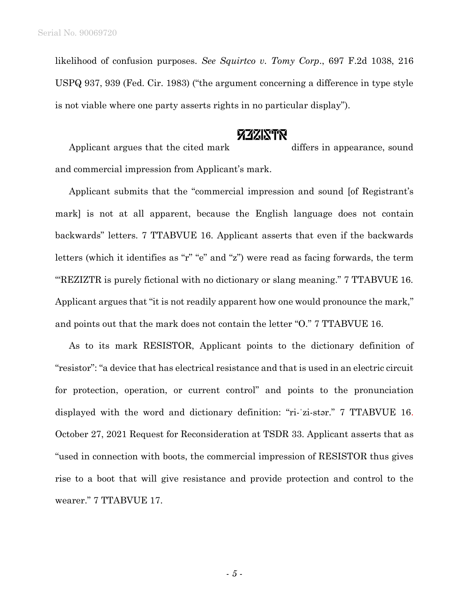likelihood of confusion purposes. *See Squirtco v. Tomy Corp*., 697 F.2d 1038, 216 USPQ 937, 939 (Fed. Cir. 1983) ("the argument concerning a difference in type style is not viable where one party asserts rights in no particular display").

## **772KTR**

Applicant argues that the cited mark differs in appearance, sound and commercial impression from Applicant's mark.

Applicant submits that the "commercial impression and sound [of Registrant's mark] is not at all apparent, because the English language does not contain backwards" letters. 7 TTABVUE 16. Applicant asserts that even if the backwards letters (which it identifies as "r" "e" and "z") were read as facing forwards, the term '"REZIZTR is purely fictional with no dictionary or slang meaning." 7 TTABVUE 16. Applicant argues that "it is not readily apparent how one would pronounce the mark," and points out that the mark does not contain the letter "O." 7 TTABVUE 16.

As to its mark RESISTOR, Applicant points to the dictionary definition of "resistor": "a device that has electrical resistance and that is used in an electric circuit for protection, operation, or current control" and points to the pronunciation displayed with the word and dictionary definition: "ri-ˈzi-stər." 7 TTABVUE 16. October 27, 2021 Request for Reconsideration at TSDR 33. Applicant asserts that as "used in connection with boots, the commercial impression of RESISTOR thus gives rise to a boot that will give resistance and provide protection and control to the wearer." 7 TTABVUE 17.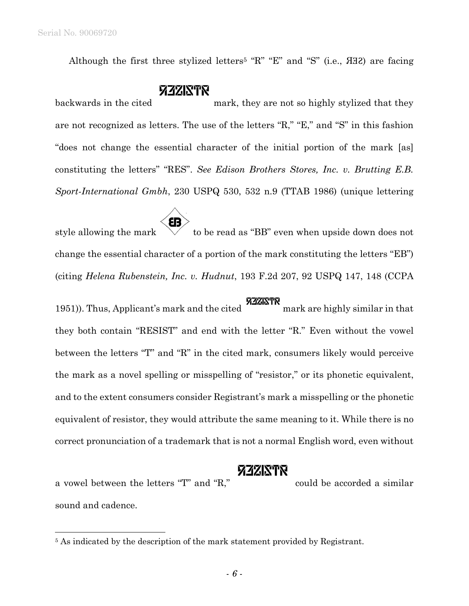Although the first three stylized letters<sup>5</sup> "R" "E" and "S" (i.e., *A*H2) are facing

# **FIZINTR**

backwards in the cited mark, they are not so highly stylized that they are not recognized as letters. The use of the letters "R," "E," and "S" in this fashion "does not change the essential character of the initial portion of the mark [as] constituting the letters" "RES". *See Edison Brothers Stores, Inc. v. Brutting E.B. Sport-International Gmbh*, 230 USPQ 530, 532 n.9 (TTAB 1986) (unique lettering

ÉB style allowing the mark  $\forall$  to be read as "BB" even when upside down does not change the essential character of a portion of the mark constituting the letters "EB") (citing *Helena Rubenstein, Inc. v. Hudnut*, 193 F.2d 207, 92 USPQ 147, 148 (CCPA

**1951)**. Thus, Applicant's mark and the cited mark are highly similar in that they both contain "RESIST" and end with the letter "R." Even without the vowel between the letters "T" and "R" in the cited mark, consumers likely would perceive the mark as a novel spelling or misspelling of "resistor," or its phonetic equivalent, and to the extent consumers consider Registrant's mark a misspelling or the phonetic equivalent of resistor, they would attribute the same meaning to it. While there is no correct pronunciation of a trademark that is not a normal English word, even without

## **ZZZINTR**

a vowel between the letters "T" and "R," could be accorded a similar sound and cadence.

<sup>&</sup>lt;sup>5</sup> As indicated by the description of the mark statement provided by Registrant.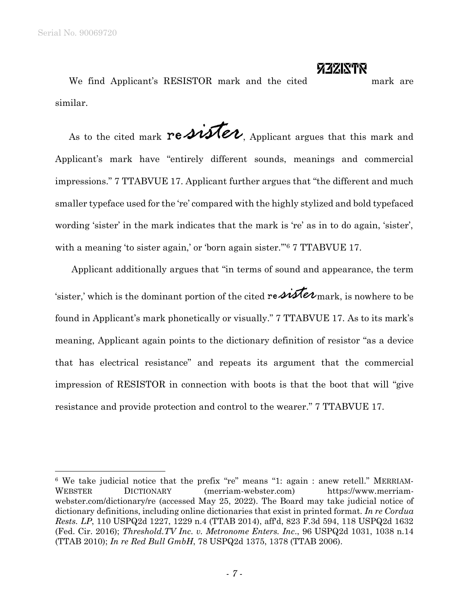# **FIZINTR**

We find Applicant's RESISTOR mark and the cited mark are similar.

As to the cited mark  $\text{re}\mathcal{M}\ell\mathcal{U}$ , Applicant argues that this mark and Applicant's mark have "entirely different sounds, meanings and commercial impressions." 7 TTABVUE 17. Applicant further argues that "the different and much smaller typeface used for the 're' compared with the highly stylized and bold typefaced wording 'sister' in the mark indicates that the mark is 're' as in to do again, 'sister', with a meaning 'to sister again,' or 'born again sister."<sup>6</sup> 7 TTABVUE 17.

Applicant additionally argues that "in terms of sound and appearance, the term 'sister,' which is the dominant portion of the cited re  $\hat{\mathcal{M}}\hat{\mathcal{U}}$  mark, is nowhere to be found in Applicant's mark phonetically or visually." 7 TTABVUE 17. As to its mark's meaning, Applicant again points to the dictionary definition of resistor "as a device that has electrical resistance" and repeats its argument that the commercial impression of RESISTOR in connection with boots is that the boot that will "give resistance and provide protection and control to the wearer." 7 TTABVUE 17.

<sup>6</sup> We take judicial notice that the prefix "re" means "1: again : anew retell." MERRIAM-WEBSTER DICTIONARY (merriam-webster.com) https://www.merriamwebster.com/dictionary/re (accessed May 25, 2022). The Board may take judicial notice of dictionary definitions, including online dictionaries that exist in printed format. *In re Cordua Rests. LP*, 110 USPQ2d 1227, 1229 n.4 (TTAB 2014), aff'd, 823 F.3d 594, 118 USPQ2d 1632 (Fed. Cir. 2016); *Threshold.TV Inc. v. Metronome Enters. Inc*., 96 USPQ2d 1031, 1038 n.14 (TTAB 2010); *In re Red Bull GmbH*, 78 USPQ2d 1375, 1378 (TTAB 2006).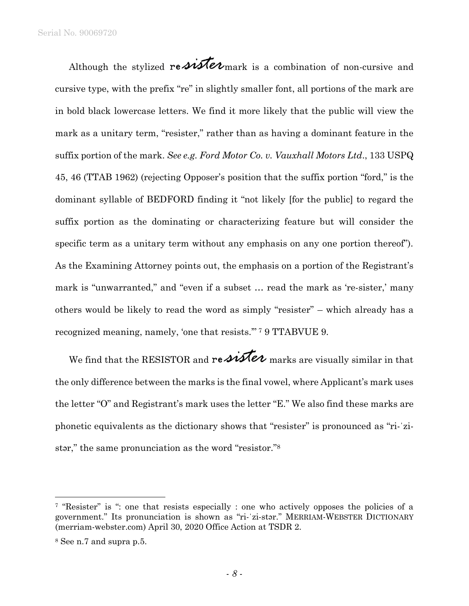Serial No. 90069720

Although the stylized re  $\mathcal{M}$ e $\nu$  mark is a combination of non-cursive and cursive type, with the prefix "re" in slightly smaller font, all portions of the mark are in bold black lowercase letters. We find it more likely that the public will view the mark as a unitary term, "resister," rather than as having a dominant feature in the suffix portion of the mark. *See e.g. Ford Motor Co. v. Vauxhall Motors Ltd*., 133 USPQ 45, 46 (TTAB 1962) (rejecting Opposer's position that the suffix portion "ford," is the dominant syllable of BEDFORD finding it "not likely [for the public] to regard the suffix portion as the dominating or characterizing feature but will consider the specific term as a unitary term without any emphasis on any one portion thereof"). As the Examining Attorney points out, the emphasis on a portion of the Registrant's mark is "unwarranted," and "even if a subset … read the mark as 're-sister,' many others would be likely to read the word as simply "resister" – which already has a recognized meaning, namely, 'one that resists." <sup>7</sup> 9 TTABVUE 9.

We find that the RESISTOR and re  $\overline{\mathcal{M}}\mathcal{U}$  marks are visually similar in that the only difference between the marks is the final vowel, where Applicant's mark uses the letter "O" and Registrant's mark uses the letter "E." We also find these marks are phonetic equivalents as the dictionary shows that "resister" is pronounced as "ri-ˈzistar," the same pronunciation as the word "resistor."<sup>8</sup>

l

<sup>7</sup> "Resister" is ": one that resists especially : one who actively opposes the policies of a government." Its pronunciation is shown as "ri-ˈzi-stər." MERRIAM-WEBSTER DICTIONARY (merriam-webster.com) April 30, 2020 Office Action at TSDR 2.

<sup>8</sup> See n.7 and supra p.5.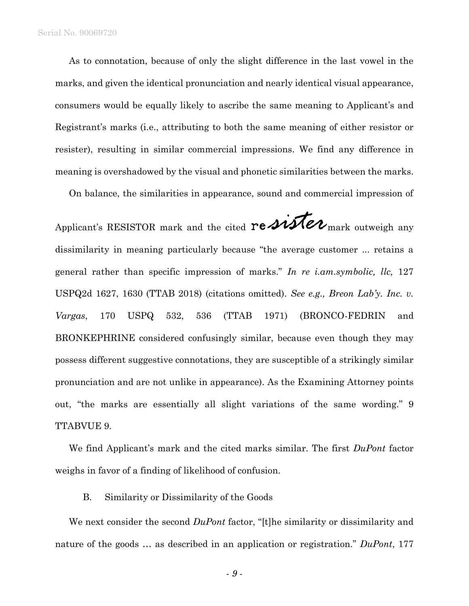As to connotation, because of only the slight difference in the last vowel in the marks, and given the identical pronunciation and nearly identical visual appearance, consumers would be equally likely to ascribe the same meaning to Applicant's and Registrant's marks (i.e., attributing to both the same meaning of either resistor or resister), resulting in similar commercial impressions. We find any difference in meaning is overshadowed by the visual and phonetic similarities between the marks.

On balance, the similarities in appearance, sound and commercial impression of

Applicant's RESISTOR mark and the cited  $\text{re} \mathcal{M}$ *Me* $\nu$ <sub>mark</sub> outweigh any dissimilarity in meaning particularly because "the average customer ... retains a general rather than specific impression of marks." *In re i.am.symbolic, llc,* 127 USPQ2d 1627, 1630 (TTAB 2018) (citations omitted). *See e.g., Breon Lab'y. Inc. v. Vargas*, 170 USPQ 532, 536 (TTAB 1971) (BRONCO-FEDRIN and BRONKEPHRINE considered confusingly similar, because even though they may possess different suggestive connotations, they are susceptible of a strikingly similar pronunciation and are not unlike in appearance). As the Examining Attorney points out, "the marks are essentially all slight variations of the same wording." 9 TTABVUE 9.

We find Applicant's mark and the cited marks similar. The first *DuPont* factor weighs in favor of a finding of likelihood of confusion.

#### B. Similarity or Dissimilarity of the Goods

We next consider the second *DuPont* factor, "[t]he similarity or dissimilarity and nature of the goods … as described in an application or registration." *DuPont*, 177

- *9* -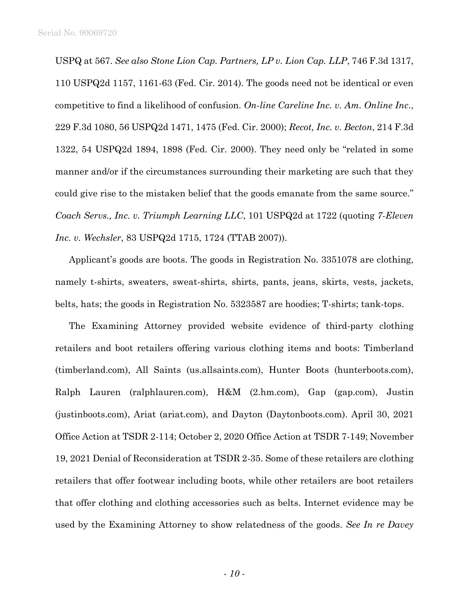USPQ at 567. *See also Stone Lion Cap. Partners, LP v. Lion Cap. LLP*, 746 F.3d 1317, 110 USPQ2d 1157, 1161-63 (Fed. Cir. 2014). The goods need not be identical or even competitive to find a likelihood of confusion. *On-line Careline Inc. v. Am. Online Inc*., 229 F.3d 1080, 56 USPQ2d 1471, 1475 (Fed. Cir. 2000); *Recot, Inc. v. Becton*, 214 F.3d 1322, 54 USPQ2d 1894, 1898 (Fed. Cir. 2000). They need only be "related in some manner and/or if the circumstances surrounding their marketing are such that they could give rise to the mistaken belief that the goods emanate from the same source." *Coach Servs., Inc. v. Triumph Learning LLC*, 101 USPQ2d at 1722 (quoting *7-Eleven Inc. v. Wechsler*, 83 USPQ2d 1715, 1724 (TTAB 2007)).

Applicant's goods are boots. The goods in Registration No. 3351078 are clothing, namely t-shirts, sweaters, sweat-shirts, shirts, pants, jeans, skirts, vests, jackets, belts, hats; the goods in Registration No. 5323587 are hoodies; T-shirts; tank-tops.

The Examining Attorney provided website evidence of third-party clothing retailers and boot retailers offering various clothing items and boots: Timberland (timberland.com), All Saints (us.allsaints.com), Hunter Boots (hunterboots.com), Ralph Lauren (ralphlauren.com), H&M (2.hm.com), Gap (gap.com), Justin (justinboots.com), Ariat (ariat.com), and Dayton (Daytonboots.com). April 30, 2021 Office Action at TSDR 2-114; October 2, 2020 Office Action at TSDR 7-149; November 19, 2021 Denial of Reconsideration at TSDR 2-35. Some of these retailers are clothing retailers that offer footwear including boots, while other retailers are boot retailers that offer clothing and clothing accessories such as belts. Internet evidence may be used by the Examining Attorney to show relatedness of the goods. *See In re Davey*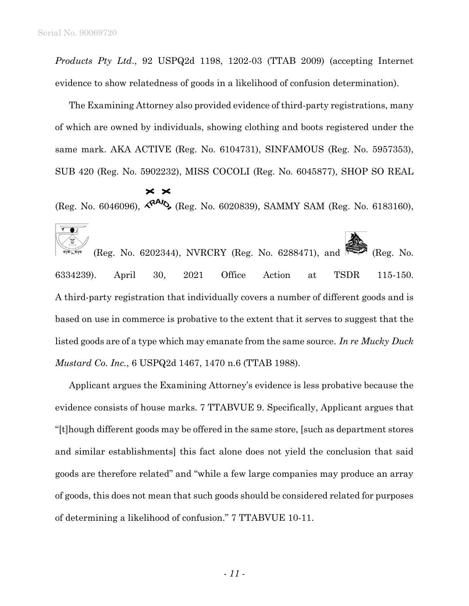*Products Pty Ltd*., 92 USPQ2d 1198, 1202-03 (TTAB 2009) (accepting Internet evidence to show relatedness of goods in a likelihood of confusion determination).

The Examining Attorney also provided evidence of third-party registrations, many of which are owned by individuals, showing clothing and boots registered under the same mark. AKA ACTIVE (Reg. No. 6104731), SINFAMOUS (Reg. No. 5957353), SUB 420 (Reg. No. 5902232), MISS COCOLI (Reg. No. 6045877), SHOP SO REAL

### $\times$   $\times$

(Reg. No. 6046096),  $\mathcal{R}^{AA}$ , (Reg. No. 6020839), SAMMY SAM (Reg. No. 6183160),

 $\sqrt{2}$ (Reg. No. 6202344), NVRCRY (Reg. No. 6288471), and  $\approx$  (Reg. No. 6334239). April 30, 2021 Office Action at TSDR 115-150. A third-party registration that individually covers a number of different goods and is based on use in commerce is probative to the extent that it serves to suggest that the listed goods are of a type which may emanate from the same source. *In re Mucky Duck Mustard Co. Inc.*, 6 USPQ2d 1467, 1470 n.6 (TTAB 1988).

Applicant argues the Examining Attorney's evidence is less probative because the evidence consists of house marks. 7 TTABVUE 9. Specifically, Applicant argues that "[t]hough different goods may be offered in the same store, [such as department stores and similar establishments] this fact alone does not yield the conclusion that said goods are therefore related" and "while a few large companies may produce an array of goods, this does not mean that such goods should be considered related for purposes of determining a likelihood of confusion." 7 TTABVUE 10-11.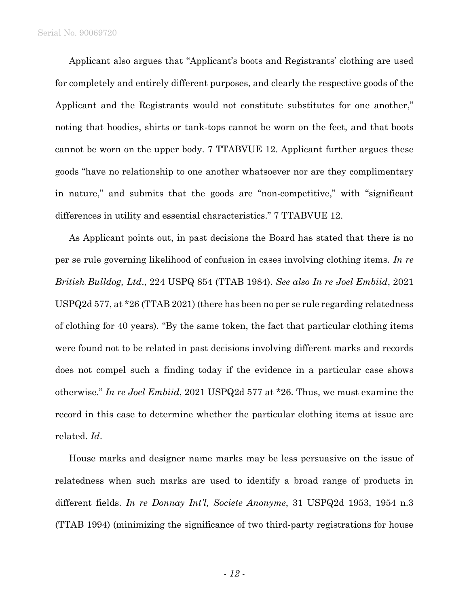Applicant also argues that "Applicant's boots and Registrants' clothing are used for completely and entirely different purposes, and clearly the respective goods of the Applicant and the Registrants would not constitute substitutes for one another," noting that hoodies, shirts or tank-tops cannot be worn on the feet, and that boots cannot be worn on the upper body. 7 TTABVUE 12. Applicant further argues these goods "have no relationship to one another whatsoever nor are they complimentary in nature," and submits that the goods are "non-competitive," with "significant differences in utility and essential characteristics." 7 TTABVUE 12.

As Applicant points out, in past decisions the Board has stated that there is no per se rule governing likelihood of confusion in cases involving clothing items. *In re British Bulldog, Ltd*., 224 USPQ 854 (TTAB 1984). *See also In re Joel Embiid*, 2021 USPQ2d 577, at \*26 (TTAB 2021) (there has been no per se rule regarding relatedness of clothing for 40 years). "By the same token, the fact that particular clothing items were found not to be related in past decisions involving different marks and records does not compel such a finding today if the evidence in a particular case shows otherwise." *In re Joel Embiid*, 2021 USPQ2d 577 at \*26. Thus, we must examine the record in this case to determine whether the particular clothing items at issue are related. *Id*.

House marks and designer name marks may be less persuasive on the issue of relatedness when such marks are used to identify a broad range of products in different fields. *In re Donnay Int'l, Societe Anonyme*, 31 USPQ2d 1953, 1954 n.3 (TTAB 1994) (minimizing the significance of two third-party registrations for house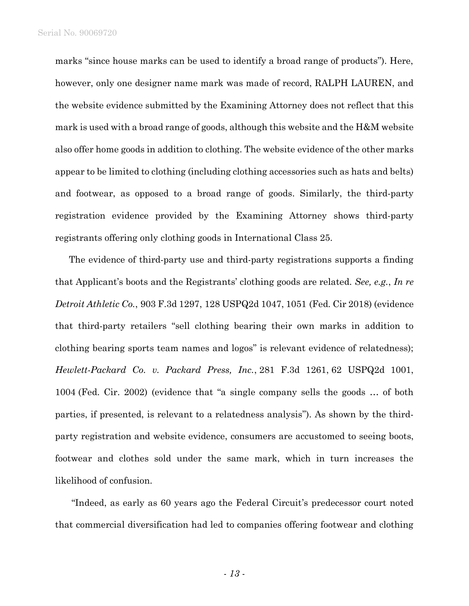marks "since house marks can be used to identify a broad range of products"). Here, however, only one designer name mark was made of record, RALPH LAUREN, and the website evidence submitted by the Examining Attorney does not reflect that this mark is used with a broad range of goods, although this website and the H&M website also offer home goods in addition to clothing. The website evidence of the other marks appear to be limited to clothing (including clothing accessories such as hats and belts) and footwear, as opposed to a broad range of goods. Similarly, the third-party registration evidence provided by the Examining Attorney shows third-party registrants offering only clothing goods in International Class 25.

The evidence of third-party use and third-party registrations supports a finding that Applicant's boots and the Registrants' clothing goods are related. *See, e.g.*, *In re Detroit Athletic Co.*, 903 F.3d 1297, 128 USPQ2d 1047, 1051 (Fed. Cir 2018) (evidence that third-party retailers "sell clothing bearing their own marks in addition to clothing bearing sports team names and logos" is relevant evidence of relatedness); *Hewlett-Packard Co. v. Packard Press, Inc.*, 281 F.3d 1261, 62 USPQ2d 1001, 1004 (Fed. Cir. 2002) (evidence that "a single company sells the goods … of both parties, if presented, is relevant to a relatedness analysis"). As shown by the thirdparty registration and website evidence, consumers are accustomed to seeing boots, footwear and clothes sold under the same mark, which in turn increases the likelihood of confusion.

"Indeed, as early as 60 years ago the Federal Circuit's predecessor court noted that commercial diversification had led to companies offering footwear and clothing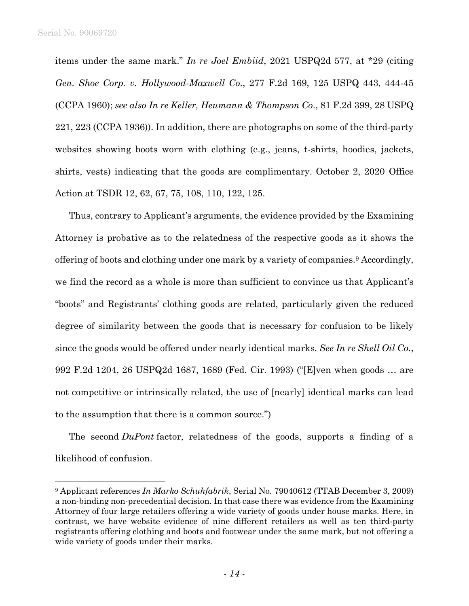items under the same mark." *In re Joel Embiid*, 2021 USPQ2d 577, at \*29 (citing *Gen. Shoe Corp. v. Hollywood-Maxwell Co*., 277 F.2d 169, 125 USPQ 443, 444-45 (CCPA 1960); *see also In re Keller, Heumann & Thompson Co*., 81 F.2d 399, 28 USPQ 221, 223 (CCPA 1936)). In addition, there are photographs on some of the third-party websites showing boots worn with clothing (e.g., jeans, t-shirts, hoodies, jackets, shirts, vests) indicating that the goods are complimentary. October 2, 2020 Office Action at TSDR 12, 62, 67, 75, 108, 110, 122, 125.

Thus, contrary to Applicant's arguments, the evidence provided by the Examining Attorney is probative as to the relatedness of the respective goods as it shows the offering of boots and clothing under one mark by a variety of companies.<sup>9</sup> Accordingly, we find the record as a whole is more than sufficient to convince us that Applicant's "boots" and Registrants' clothing goods are related, particularly given the reduced degree of similarity between the goods that is necessary for confusion to be likely since the goods would be offered under nearly identical marks. *See In re Shell Oil Co.*, 992 F.2d 1204, 26 USPQ2d 1687, 1689 (Fed. Cir. 1993) ("[E]ven when goods … are not competitive or intrinsically related, the use of [nearly] identical marks can lead to the assumption that there is a common source.")

The second *DuPont* factor, relatedness of the goods, supports a finding of a likelihood of confusion.

<sup>9</sup> Applicant references *In Marko Schuhfabrik*, Serial No. 79040612 (TTAB December 3, 2009) a non-binding non-precedential decision. In that case there was evidence from the Examining Attorney of four large retailers offering a wide variety of goods under house marks. Here, in contrast, we have website evidence of nine different retailers as well as ten third-party registrants offering clothing and boots and footwear under the same mark, but not offering a wide variety of goods under their marks.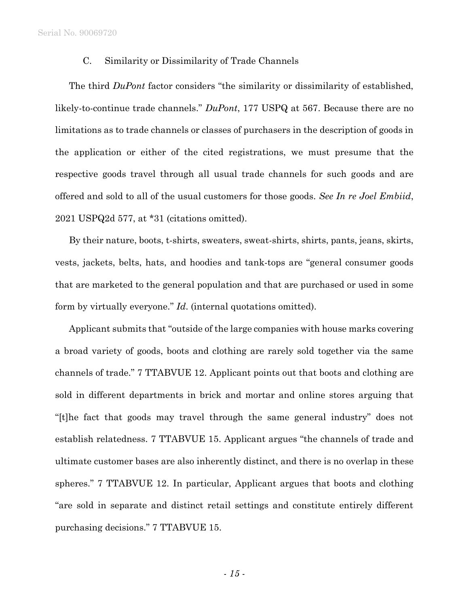Serial No. 90069720

### C. Similarity or Dissimilarity of Trade Channels

The third *DuPont* factor considers "the similarity or dissimilarity of established, likely-to-continue trade channels." *DuPont*, 177 USPQ at 567. Because there are no limitations as to trade channels or classes of purchasers in the description of goods in the application or either of the cited registrations, we must presume that the respective goods travel through all usual trade channels for such goods and are offered and sold to all of the usual customers for those goods. *See In re Joel Embiid*, 2021 USPQ2d 577, at \*31 (citations omitted).

By their nature, boots, t-shirts, sweaters, sweat-shirts, shirts, pants, jeans, skirts, vests, jackets, belts, hats, and hoodies and tank-tops are "general consumer goods that are marketed to the general population and that are purchased or used in some form by virtually everyone." *Id*. (internal quotations omitted).

Applicant submits that "outside of the large companies with house marks covering a broad variety of goods, boots and clothing are rarely sold together via the same channels of trade." 7 TTABVUE 12. Applicant points out that boots and clothing are sold in different departments in brick and mortar and online stores arguing that "[t]he fact that goods may travel through the same general industry" does not establish relatedness. 7 TTABVUE 15. Applicant argues "the channels of trade and ultimate customer bases are also inherently distinct, and there is no overlap in these spheres." 7 TTABVUE 12. In particular, Applicant argues that boots and clothing "are sold in separate and distinct retail settings and constitute entirely different purchasing decisions." 7 TTABVUE 15.